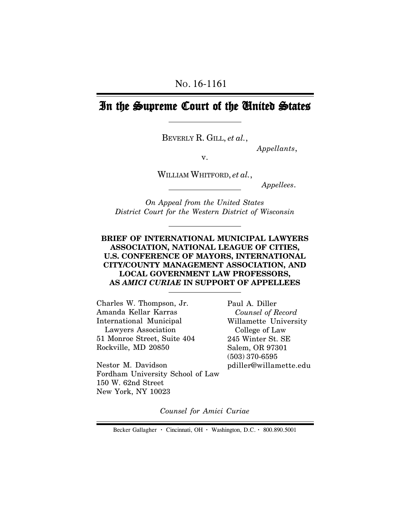# In the Supreme Court of the United States

BEVERLY R. GILL, *et al.*,

*Appellants*,

v.

WILLIAM WHITFORD, *et al.*,

 *Appellees*.

*On Appeal from the United States District Court for the Western District of Wisconsin*

# **BRIEF OF INTERNATIONAL MUNICIPAL LAWYERS ASSOCIATION, NATIONAL LEAGUE OF CITIES, U.S. CONFERENCE OF MAYORS, INTERNATIONAL CITY/COUNTY MANAGEMENT ASSOCIATION, AND LOCAL GOVERNMENT LAW PROFESSORS, AS** *AMICI CURIAE* **IN SUPPORT OF APPELLEES**

Charles W. Thompson, Jr. Amanda Kellar Karras International Municipal Lawyers Association 51 Monroe Street, Suite 404 Rockville, MD 20850

Nestor M. Davidson Fordham University School of Law 150 W. 62nd Street New York, NY 10023

Paul A. Diller  *Counsel of Record* Willamette University College of Law 245 Winter St. SE Salem, OR 97301 (503) 370-6595 pdiller@willamette.edu

*Counsel for Amici Curiae*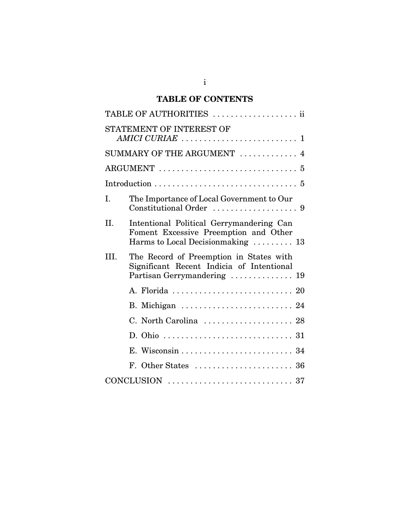# **TABLE OF CONTENTS**

|                            | TABLE OF AUTHORITIES  ii                                                                                                |
|----------------------------|-------------------------------------------------------------------------------------------------------------------------|
|                            | STATEMENT OF INTEREST OF                                                                                                |
| SUMMARY OF THE ARGUMENT  4 |                                                                                                                         |
|                            |                                                                                                                         |
|                            |                                                                                                                         |
| I.                         | The Importance of Local Government to Our                                                                               |
| II.                        | Intentional Political Gerrymandering Can<br>Foment Excessive Preemption and Other<br>Harms to Local Decision making  13 |
| III.                       | The Record of Preemption in States with<br>Significant Recent Indicia of Intentional<br>Partisan Gerrymandering  19     |
|                            |                                                                                                                         |
|                            | B. Michigan  24                                                                                                         |
|                            | C. North Carolina  28                                                                                                   |
|                            |                                                                                                                         |
|                            |                                                                                                                         |
|                            |                                                                                                                         |
|                            |                                                                                                                         |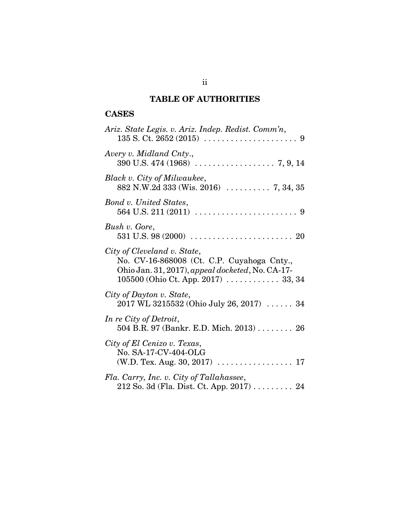# **TABLE OF AUTHORITIES**

# **CASES**

| Ariz. State Legis. v. Ariz. Indep. Redist. Comm'n,                                                                                                                     |
|------------------------------------------------------------------------------------------------------------------------------------------------------------------------|
| Avery v. Midland Cnty.,                                                                                                                                                |
| Black v. City of Milwaukee,<br>882 N.W.2d 333 (Wis. 2016)  7, 34, 35                                                                                                   |
| Bond v. United States,                                                                                                                                                 |
| Bush v. Gore,<br>531 U.S. 98 (2000) $\ldots \ldots \ldots \ldots \ldots \ldots \ldots \ldots 20$                                                                       |
| City of Cleveland v. State,<br>No. CV-16-868008 (Ct. C.P. Cuyahoga Cnty.,<br>Ohio Jan. 31, 2017), appeal docketed, No. CA-17-<br>$105500$ (Ohio Ct. App. 2017)  33, 34 |
| City of Dayton v. State,<br>2017 WL 3215532 (Ohio July 26, 2017)  34                                                                                                   |
| In re City of Detroit,<br>504 B.R. 97 (Bankr. E.D. Mich. 2013) 26                                                                                                      |
| City of El Cenizo v. Texas,<br>No. SA-17-CV-404-OLG                                                                                                                    |
| Fla. Carry, Inc. v. City of Tallahassee,<br>212 So. 3d (Fla. Dist. Ct. App. 2017) 24                                                                                   |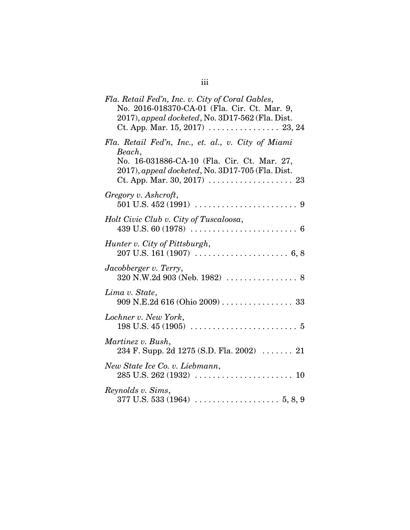| Fla. Retail Fed'n, Inc. v. City of Coral Gables,<br>No. 2016-018370-CA-01 (Fla. Cir. Ct. Mar. 9,<br>2017), appeal docketed, No. 3D17-562 (Fla. Dist.                                                                                      |
|-------------------------------------------------------------------------------------------------------------------------------------------------------------------------------------------------------------------------------------------|
| Fla. Retail Fed'n, Inc., et. al., v. City of Miami<br>Beach,<br>No. 16-031886-CA-10 (Fla. Cir. Ct. Mar. 27,<br>2017), appeal docketed, No. 3D17-705 (Fla. Dist.<br>Ct. App. Mar. 30, 2017) $\ldots \ldots \ldots \ldots \ldots \ldots$ 23 |
| Gregory v. Ashcroft,                                                                                                                                                                                                                      |
| Holt Civic Club v. City of Tuscaloosa,                                                                                                                                                                                                    |
| Hunter v. City of Pittsburgh,                                                                                                                                                                                                             |
| Jacobberger v. Terry,                                                                                                                                                                                                                     |
| Lima v. State,<br>909 N.E.2d 616 (Ohio 2009) 33                                                                                                                                                                                           |
| Lochner v. New York,                                                                                                                                                                                                                      |
| Martinez v. Bush,<br>234 F. Supp. 2d 1275 (S.D. Fla. 2002)  21                                                                                                                                                                            |
| New State Ice Co. v. Liebmann,                                                                                                                                                                                                            |
| Reynolds v. Sims,                                                                                                                                                                                                                         |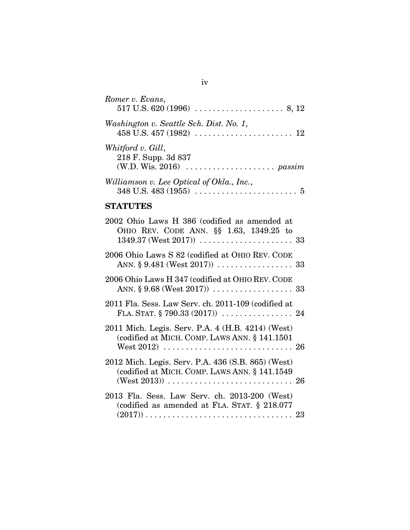| Romer v. Evans,                                                                         |
|-----------------------------------------------------------------------------------------|
| Washington v. Seattle Sch. Dist. No. 1,                                                 |
| Whitford v. Gill,<br>218 F. Supp. 3d 837                                                |
| Williamson v. Lee Optical of Okla., Inc.,                                               |
| <b>STATUTES</b>                                                                         |
| 2002 Ohio Laws H 386 (codified as amended at<br>OHIO REV. CODE ANN. §§ 1.63, 1349.25 to |
| 2006 Ohio Laws S 82 (codified at OHIO REV. CODE                                         |
| 2006 Ohio Laws H 347 (codified at OHIO REV. CODE                                        |
| 2011 Fla. Sess. Law Serv. ch. 2011-109 (codified at                                     |

| 2011 Mich. Legis. Serv. P.A. 4 (H.B. 4214) (West)<br>(codified at MICH. COMP. LAWS ANN. § 141.1501)  |  |
|------------------------------------------------------------------------------------------------------|--|
| 2012 Mich. Legis. Serv. P.A. 436 (S.B. 865) (West)<br>(codified at MICH. COMP. LAWS ANN. § 141.1549) |  |
| 2013 Fla. Sess. Law Serv. ch. 2013-200 (West)                                                        |  |

| 2013 Fla. Sess. Law Serv. ch. 2013-200 (West)   |  |
|-------------------------------------------------|--|
| (codified as amended at FLA. STAT. $\S$ 218.077 |  |
|                                                 |  |

iv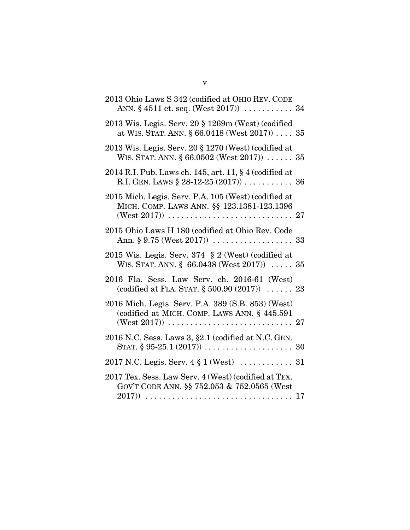| 2013 Ohio Laws S 342 (codified at OHIO REV. CODE<br>ANN. $\S 4511$ et. seq. (West 2017))  34                       |    |
|--------------------------------------------------------------------------------------------------------------------|----|
| 2013 Wis. Legis. Serv. 20 § 1269m (West) (codified<br>at WIS. STAT. ANN. $\S 66.0418$ (West 2017))  35             |    |
| $2013$ Wis. Legis. Serv. $20 \text{ § } 1270$ (West) (codified at<br>WIS. STAT. ANN. $\S 66.0502$ (West 2017))  35 |    |
| 2014 R.I. Pub. Laws ch. 145, art. 11, § 4 (codified at                                                             |    |
| 2015 Mich. Legis. Serv. P.A. 105 (West) (codified at<br>MICH. COMP. LAWS ANN. §§ 123.1381-123.1396                 |    |
| 2015 Ohio Laws H 180 (codified at Ohio Rev. Code                                                                   |    |
| 2015 Wis. Legis. Serv. 374 $\S 2$ (West) (codified at<br>WIS. STAT. ANN. $\S$ 66.0438 (West 2017))  35             |    |
| 2016 Fla. Sess. Law Serv. ch. 2016-61 (West)<br>(codified at FLA. STAT. $\S 500.90 (2017)$ )  23                   |    |
| 2016 Mich. Legis. Serv. P.A. 389 (S.B. 853) (West)<br>(codified at MICH. COMP. LAWS ANN. § 445.591                 |    |
| 2016 N.C. Sess. Laws 3, §2.1 (codified at N.C. GEN.                                                                |    |
|                                                                                                                    |    |
| 2017 Tex. Sess. Law Serv. 4 (West) (codified at TEX.<br>GOV'T CODE ANN. §§ 752.053 & 752.0565 (West                | 17 |

v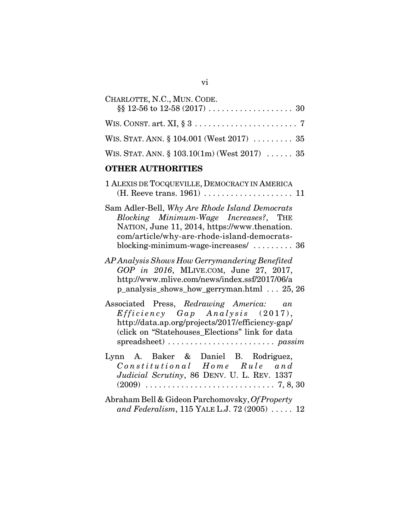| CHARLOTTE, N.C., MUN. CODE.                     |
|-------------------------------------------------|
|                                                 |
| WIS. STAT. ANN. § 104.001 (West 2017)  35       |
| WIS. STAT. ANN. $\S 103.10(1m)$ (West 2017)  35 |
|                                                 |

# **OTHER AUTHORITIES**

| 1 ALEXIS DE TOCQUEVILLE, DEMOCRACY IN AMERICA                                                                                                                                                                                   |
|---------------------------------------------------------------------------------------------------------------------------------------------------------------------------------------------------------------------------------|
| Sam Adler-Bell, Why Are Rhode Island Democrats<br>Blocking Minimum-Wage Increases?, THE<br>NATION, June 11, 2014, https://www.thenation.<br>com/article/why-are-rhode-island-democrats-<br>blocking-minimum-wage-increases/  36 |
| AP Analysis Shows How Gerrymandering Benefited<br>GOP in 2016, MLIVE.COM, June 27, 2017,<br>http://www.mlive.com/news/index.ssf/2017/06/a<br>p_analysis_shows_how_gerryman.html  25, 26                                         |
| Associated Press, Redrawing America: an<br>$Efficiency$ $Gap$ $Analysis$ (2017),<br>http://data.ap.org/projects/2017/efficiency-gap/<br>(click on "Statehouses_Elections" link for data                                         |
| Lynn A. Baker & Daniel B. Rodriguez,<br>Constitutional Home Rule and<br>Judicial Scrutiny, 86 DENV. U. L. REV. 1337                                                                                                             |
| Abraham Bell & Gideon Parchomovsky, Of Property<br>and Federalism, 115 YALE L.J. 72 (2005) $\ldots$ . 12                                                                                                                        |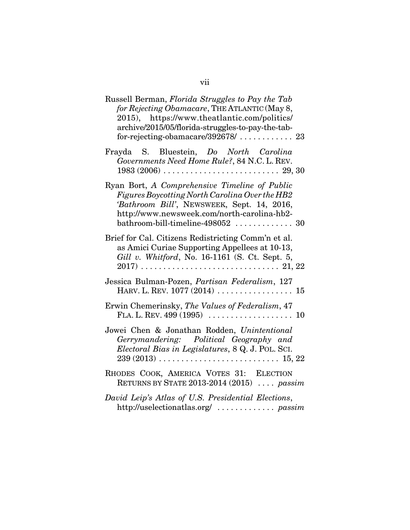| Russell Berman, Florida Struggles to Pay the Tab<br>for Rejecting Obamacare, THE ATLANTIC (May 8,<br>2015), https://www.theatlantic.com/politics/<br>archive/2015/05/florida-struggles-to-pay-the-tab-                                  |
|-----------------------------------------------------------------------------------------------------------------------------------------------------------------------------------------------------------------------------------------|
| Frayda S. Bluestein, Do North Carolina<br>Governments Need Home Rule?, 84 N.C. L. REV.                                                                                                                                                  |
| Ryan Bort, A Comprehensive Timeline of Public<br>Figures Boycotting North Carolina Over the HB2<br>'Bathroom Bill', NEWSWEEK, Sept. 14, 2016,<br>http://www.newsweek.com/north-carolina-hb2-<br>$bathroom$ -bill-timeline-498052  30    |
| Brief for Cal. Citizens Redistricting Comm'n et al.<br>as Amici Curiae Supporting Appellees at 10-13,<br>Gill v. Whitford, No. 16-1161 (S. Ct. Sept. 5,                                                                                 |
| Jessica Bulman-Pozen, Partisan Federalism, 127                                                                                                                                                                                          |
| Erwin Chemerinsky, The Values of Federalism, 47                                                                                                                                                                                         |
| Jowei Chen & Jonathan Rodden, Unintentional<br>Gerrymandering: Political Geography and<br>Electoral Bias in Legislatures, 8 Q. J. POL. SCI.<br>$239 (2013) \ldots \ldots \ldots \ldots \ldots \ldots \ldots \ldots \ldots \quad 15, 22$ |
| RHODES COOK, AMERICA VOTES 31: ELECTION<br>RETURNS BY STATE 2013-2014 (2015)  passim                                                                                                                                                    |
| David Leip's Atlas of U.S. Presidential Elections,<br>http://uselectionatlas.org/  passim                                                                                                                                               |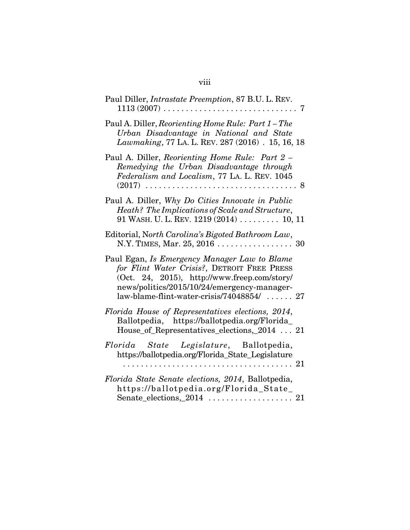| Paul Diller, <i>Intrastate Preemption</i> , 87 B.U. L. REV.<br>$1113(2007)\ldots\ldots\ldots\ldots\ldots\ldots\ldots\ldots\ldots\ldots\ldots$<br>7                                                                                                                           |
|------------------------------------------------------------------------------------------------------------------------------------------------------------------------------------------------------------------------------------------------------------------------------|
| Paul A. Diller, Reorienting Home Rule: Part 1 - The<br>Urban Disadvantage in National and State<br>Lawmaking, 77 LA. L. REV. 287 (2016) . 15, 16, 18                                                                                                                         |
| Paul A. Diller, Reorienting Home Rule: Part 2 -<br>Remedying the Urban Disadvantage through<br>Federalism and Localism, 77 LA. L. REV. 1045<br>$(2017)$<br>. 8                                                                                                               |
| Paul A. Diller, Why Do Cities Innovate in Public<br>Heath? The Implications of Scale and Structure,<br>91 WASH. U. L. REV. $1219(2014)$ 10, 11                                                                                                                               |
| Editorial, North Carolina's Bigoted Bathroom Law,<br>N.Y. TIMES, Mar. 25, 2016 30                                                                                                                                                                                            |
| Paul Egan, Is Emergency Manager Law to Blame<br>for Flint Water Crisis?, DETROIT FREE PRESS<br>(Oct. 24, 2015), http://www.freep.com/story/<br>news/politics/2015/10/24/emergency-manager-<br>$law\text{-}blame\text{-}flint\text{-}water\text{-}crisis/74048854/ \ldots 27$ |
| Florida House of Representatives elections, 2014,<br>Ballotpedia, https://ballotpedia.org/Florida_<br>House of Representatives elections, 2014  21                                                                                                                           |
| Florida State Legislature, Ballotpedia,<br>https://ballotpedia.org/Florida_State_Legislature                                                                                                                                                                                 |
| Florida State Senate elections, 2014, Ballotpedia,<br>https://ballotpedia.org/Florida_State_                                                                                                                                                                                 |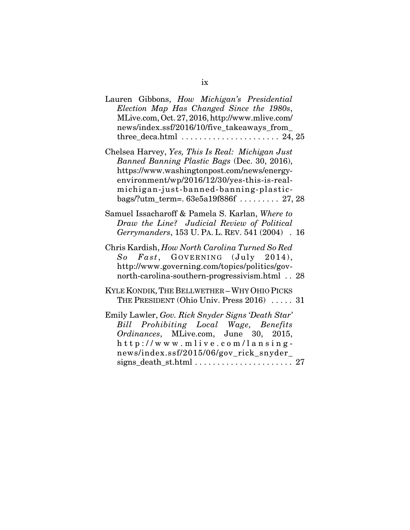| Lauren Gibbons, How Michigan's Presidential<br>Election Map Has Changed Since the 1980s,<br>MLive.com, Oct. 27, 2016, http://www.mlive.com/<br>news/index.ssf/2016/10/five_takeaways_from_                                                                                          |
|-------------------------------------------------------------------------------------------------------------------------------------------------------------------------------------------------------------------------------------------------------------------------------------|
| Chelsea Harvey, Yes, This Is Real: Michigan Just<br>Banned Banning Plastic Bags (Dec. 30, 2016),<br>https://www.washingtonpost.com/news/energy-<br>environment/wp/2016/12/30/yes-this-is-real-<br>michigan-just-banned-banning-plastic-<br>bags/?utm_term=. $63e5a19f886f$ $27, 28$ |
| Samuel Issacharoff & Pamela S. Karlan, Where to<br>Draw the Line? Judicial Review of Political<br>Gerrymanders, 153 U. PA. L. REV. 541 (2004) . 16                                                                                                                                  |
| Chris Kardish, How North Carolina Turned So Red<br>So Fast, GOVERNING (July 2014),<br>http://www.governing.com/topics/politics/gov-<br>north-carolina-southern-progressivism.html 28                                                                                                |
| KYLE KONDIK, THE BELLWETHER - WHY OHIO PICKS<br>THE PRESIDENT (Ohio Univ. Press 2016)  31                                                                                                                                                                                           |
| Emily Lawler, Gov. Rick Snyder Signs 'Death Star'<br>Bill Prohibiting Local Wage, Benefits<br>Ordinances, MLive.com, June 30, 2015,<br>http://www.mlive.com/lansing-<br>news/index.ssf/2015/06/gov_rick_snyder_                                                                     |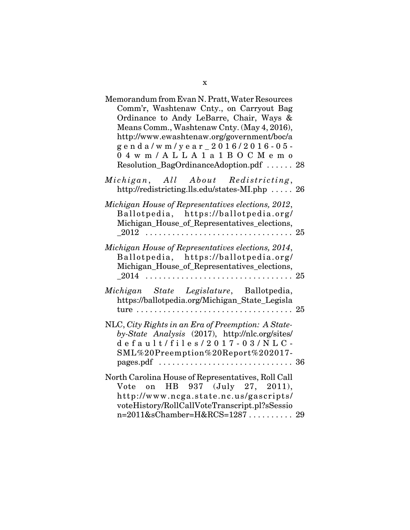| Memorandum from Evan N. Pratt, Water Resources<br>Comm'r, Washtenaw Cnty., on Carryout Bag<br>Ordinance to Andy LeBarre, Chair, Ways &<br>Means Comm., Washtenaw Cnty. (May 4, 2016),<br>http://www.ewashtenaw.org/government/boc/a<br>genda/wm/year_2016/2016-05-<br>04wm/ALLA1a1BOCMemo<br>Resolution_BagOrdinanceAdoption.pdf  28 |  |
|--------------------------------------------------------------------------------------------------------------------------------------------------------------------------------------------------------------------------------------------------------------------------------------------------------------------------------------|--|
| Michigan, All About Redistricting,<br>http://redistricting.lls.edu/states-MI.php  26                                                                                                                                                                                                                                                 |  |
| Michigan House of Representatives elections, 2012,<br>Ballotpedia, https://ballotpedia.org/<br>Michigan_House_of_Representatives_elections,                                                                                                                                                                                          |  |
| Michigan House of Representatives elections, 2014,<br>Ballotpedia, https://ballotpedia.org/<br>Michigan_House_of_Representatives_elections,                                                                                                                                                                                          |  |
| Michigan State Legislature, Ballotpedia,<br>https://ballotpedia.org/Michigan_State_Legisla                                                                                                                                                                                                                                           |  |
| NLC, City Rights in an Era of Preemption: A State-<br>by-State Analysis (2017), http://nlc.org/sites/<br>default/files/2017-03/NLC-<br>SML%20Preemption%20Report%202017-<br>pages.pdf $\ldots \ldots \ldots \ldots \ldots \ldots \ldots \ldots \ldots \ldots 36$                                                                     |  |
| North Carolina House of Representatives, Roll Call<br>Vote on HB 937 (July 27, 2011),<br>http://www.ncga.state.nc.us/gascripts/<br>voteHistory/RollCallVoteTranscript.pl?sSessio<br>n=2011&sChamber=H&RCS=1287 29                                                                                                                    |  |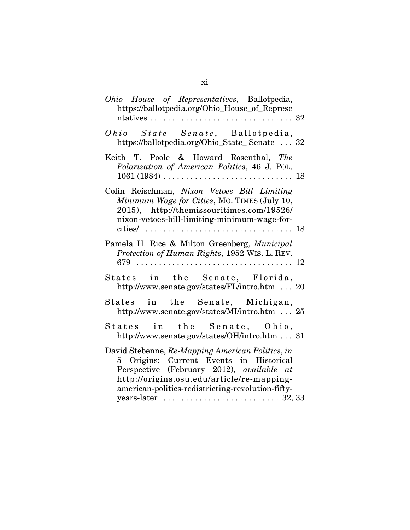| Ohio House of Representatives, Ballotpedia,<br>https://ballotpedia.org/Ohio_House_of_Represe                                                                                                                                                                                                                              |
|---------------------------------------------------------------------------------------------------------------------------------------------------------------------------------------------------------------------------------------------------------------------------------------------------------------------------|
| Ohio State Senate, Ballotpedia,<br>https://ballotpedia.org/Ohio_State_Senate  32                                                                                                                                                                                                                                          |
| Keith T. Poole & Howard Rosenthal, The<br>Polarization of American Politics, 46 J. POL.<br>$1061 (1984) \ldots \ldots \ldots \ldots \ldots \ldots \ldots \ldots \ldots 18$                                                                                                                                                |
| Colin Reischman, Nixon Vetoes Bill Limiting<br>Minimum Wage for Cities, MO. TIMES (July 10,<br>2015), http://themissouritimes.com/19526/<br>nixon-vetoes-bill-limiting-minimum-wage-for-                                                                                                                                  |
| Pamela H. Rice & Milton Greenberg, Municipal<br>Protection of Human Rights, 1952 WIS. L. REV.                                                                                                                                                                                                                             |
| States in the Senate, Florida,<br>http://www.senate.gov/states/FL/intro.htm  20                                                                                                                                                                                                                                           |
| States in the Senate, Michigan,<br>http://www.senate.gov/states/MI/intro.htm  25                                                                                                                                                                                                                                          |
| States in the Senate, Ohio,<br>http://www.senate.gov/states/OH/intro.htm  31                                                                                                                                                                                                                                              |
| David Stebenne, Re-Mapping American Politics, in<br>5 Origins: Current Events in Historical<br>Perspective (February 2012), available at<br>http://origins.osu.edu/article/re-mapping-<br>american-politics-redistricting-revolution-fifty-<br>years-later $\dots \dots \dots \dots \dots \dots \dots \dots \dots 32, 33$ |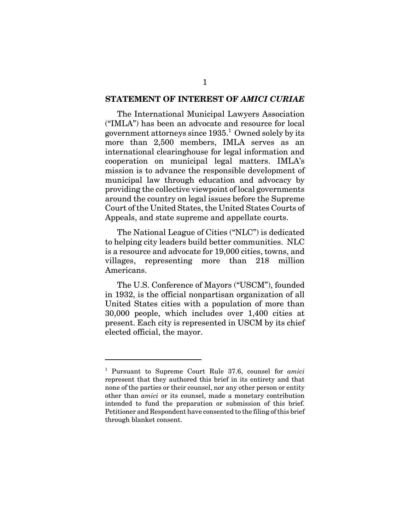## **STATEMENT OF INTEREST OF** *AMICI CURIAE*

The International Municipal Lawyers Association ("IMLA") has been an advocate and resource for local government attorneys since  $1935<sup>1</sup>$  Owned solely by its more than 2,500 members, IMLA serves as an international clearinghouse for legal information and cooperation on municipal legal matters. IMLA's mission is to advance the responsible development of municipal law through education and advocacy by providing the collective viewpoint of local governments around the country on legal issues before the Supreme Court of the United States, the United States Courts of Appeals, and state supreme and appellate courts.

The National League of Cities ("NLC") is dedicated to helping city leaders build better communities. NLC is a resource and advocate for 19,000 cities, towns, and villages, representing more than 218 million Americans.

The U.S. Conference of Mayors ("USCM"), founded in 1932, is the official nonpartisan organization of all United States cities with a population of more than 30,000 people, which includes over 1,400 cities at present. Each city is represented in USCM by its chief elected official, the mayor.

<sup>1</sup> Pursuant to Supreme Court Rule 37.6, counsel for *amici* represent that they authored this brief in its entirety and that none of the parties or their counsel, nor any other person or entity other than *amici* or its counsel, made a monetary contribution intended to fund the preparation or submission of this brief. Petitioner and Respondent have consented to the filing of this brief through blanket consent.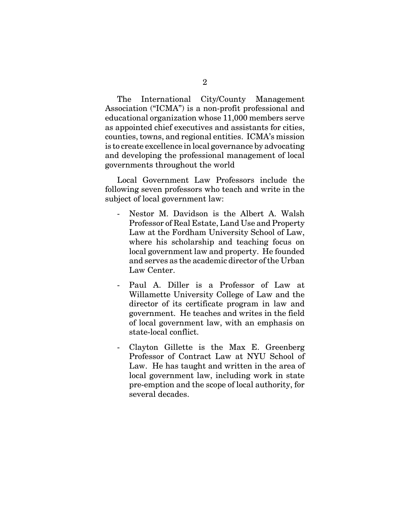The International City/County Management Association ("ICMA") is a non-profit professional and educational organization whose 11,000 members serve as appointed chief executives and assistants for cities, counties, towns, and regional entities. ICMA's mission is to create excellence in local governance by advocating and developing the professional management of local governments throughout the world

Local Government Law Professors include the following seven professors who teach and write in the subject of local government law:

- Nestor M. Davidson is the Albert A. Walsh Professor of Real Estate, Land Use and Property Law at the Fordham University School of Law, where his scholarship and teaching focus on local government law and property. He founded and serves as the academic director of the Urban Law Center.
- Paul A. Diller is a Professor of Law at Willamette University College of Law and the director of its certificate program in law and government. He teaches and writes in the field of local government law, with an emphasis on state-local conflict.
- Clayton Gillette is the Max E. Greenberg Professor of Contract Law at NYU School of Law. He has taught and written in the area of local government law, including work in state pre-emption and the scope of local authority, for several decades.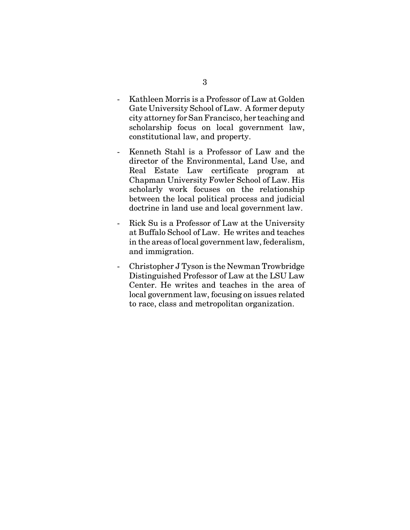- Kathleen Morris is a Professor of Law at Golden Gate University School of Law. A former deputy city attorney for San Francisco, her teaching and scholarship focus on local government law, constitutional law, and property.
- Kenneth Stahl is a Professor of Law and the director of the Environmental, Land Use, and Real Estate Law certificate program at Chapman University Fowler School of Law. His scholarly work focuses on the relationship between the local political process and judicial doctrine in land use and local government law.
- Rick Su is a Professor of Law at the University at Buffalo School of Law. He writes and teaches in the areas of local government law, federalism, and immigration.
- Christopher J Tyson is the Newman Trowbridge Distinguished Professor of Law at the LSU Law Center. He writes and teaches in the area of local government law, focusing on issues related to race, class and metropolitan organization.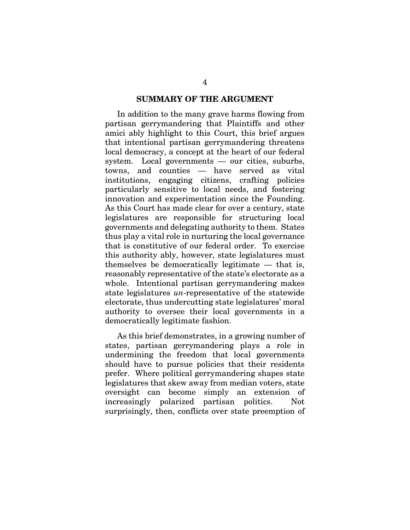### **SUMMARY OF THE ARGUMENT**

In addition to the many grave harms flowing from partisan gerrymandering that Plaintiffs and other amici ably highlight to this Court, this brief argues that intentional partisan gerrymandering threatens local democracy, a concept at the heart of our federal system. Local governments — our cities, suburbs, towns, and counties — have served as vital institutions, engaging citizens, crafting policies particularly sensitive to local needs, and fostering innovation and experimentation since the Founding. As this Court has made clear for over a century, state legislatures are responsible for structuring local governments and delegating authority to them. States thus play a vital role in nurturing the local governance that is constitutive of our federal order. To exercise this authority ably, however, state legislatures must themselves be democratically legitimate — that is, reasonably representative of the state's electorate as a whole. Intentional partisan gerrymandering makes state legislatures *un*-representative of the statewide electorate, thus undercutting state legislatures' moral authority to oversee their local governments in a democratically legitimate fashion.

As this brief demonstrates, in a growing number of states, partisan gerrymandering plays a role in undermining the freedom that local governments should have to pursue policies that their residents prefer. Where political gerrymandering shapes state legislatures that skew away from median voters, state oversight can become simply an extension of increasingly polarized partisan politics. Not surprisingly, then, conflicts over state preemption of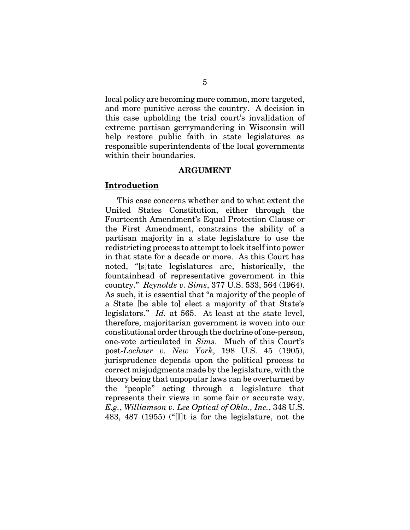local policy are becoming more common, more targeted, and more punitive across the country. A decision in this case upholding the trial court's invalidation of extreme partisan gerrymandering in Wisconsin will help restore public faith in state legislatures as responsible superintendents of the local governments within their boundaries.

#### **ARGUMENT**

### **Introduction**

This case concerns whether and to what extent the United States Constitution, either through the Fourteenth Amendment's Equal Protection Clause or the First Amendment, constrains the ability of a partisan majority in a state legislature to use the redistricting process to attempt to lock itself into power in that state for a decade or more. As this Court has noted, "[s]tate legislatures are, historically, the fountainhead of representative government in this country." *Reynolds v. Sims*, 377 U.S. 533, 564 (1964). As such, it is essential that "a majority of the people of a State [be able to] elect a majority of that State's legislators." *Id.* at 565. At least at the state level, therefore, majoritarian government is woven into our constitutional order through the doctrine of one-person, one-vote articulated in *Sims*. Much of this Court's post-*Lochner v. New York*, 198 U.S. 45 (1905), jurisprudence depends upon the political process to correct misjudgments made by the legislature, with the theory being that unpopular laws can be overturned by the "people" acting through a legislature that represents their views in some fair or accurate way. *E.g.*, *Williamson v. Lee Optical of Okla., Inc.*, 348 U.S. 483, 487 (1955) ("[I]t is for the legislature, not the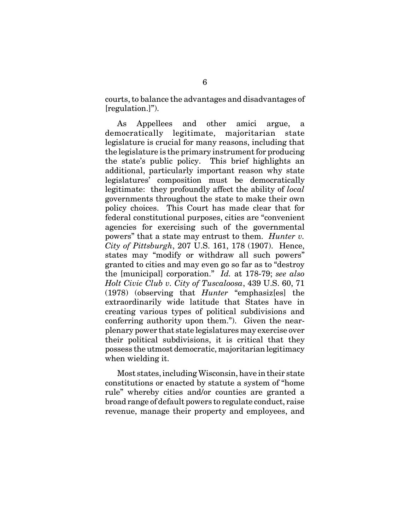courts, to balance the advantages and disadvantages of [regulation.]").

As Appellees and other amici argue, a democratically legitimate, majoritarian state legislature is crucial for many reasons, including that the legislature is the primary instrument for producing the state's public policy. This brief highlights an additional, particularly important reason why state legislatures' composition must be democratically legitimate: they profoundly affect the ability of *local* governments throughout the state to make their own policy choices. This Court has made clear that for federal constitutional purposes, cities are "convenient agencies for exercising such of the governmental powers" that a state may entrust to them. *Hunter v. City of Pittsburgh*, 207 U.S. 161, 178 (1907). Hence, states may "modify or withdraw all such powers" granted to cities and may even go so far as to "destroy the [municipal] corporation." *Id.* at 178-79; *see also Holt Civic Club v. City of Tuscaloosa*, 439 U.S. 60, 71 (1978) (observing that *Hunter* "emphasiz[es] the extraordinarily wide latitude that States have in creating various types of political subdivisions and conferring authority upon them."). Given the nearplenary power that state legislatures may exercise over their political subdivisions, it is critical that they possess the utmost democratic, majoritarian legitimacy when wielding it.

Most states, including Wisconsin, have in their state constitutions or enacted by statute a system of "home rule" whereby cities and/or counties are granted a broad range of default powers to regulate conduct, raise revenue, manage their property and employees, and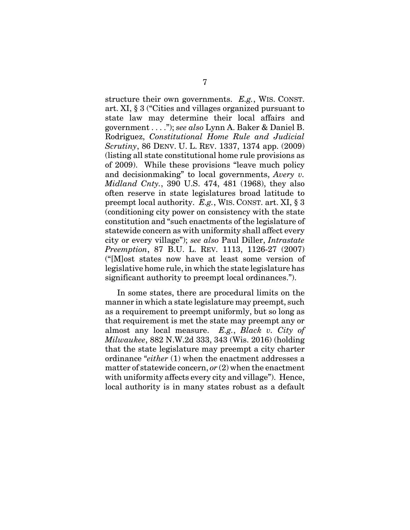structure their own governments. *E.g.*, WIS. CONST. art. XI, § 3 ("Cities and villages organized pursuant to state law may determine their local affairs and government . . . ."); *see also* Lynn A. Baker & Daniel B. Rodriguez, *Constitutional Home Rule and Judicial Scrutiny*, 86 DENV. U. L. REV. 1337, 1374 app. (2009) (listing all state constitutional home rule provisions as of 2009). While these provisions "leave much policy and decisionmaking" to local governments, *Avery v. Midland Cnty.*, 390 U.S. 474, 481 (1968), they also often reserve in state legislatures broad latitude to preempt local authority. *E.g.*, WIS. CONST. art. XI, § 3 (conditioning city power on consistency with the state constitution and "such enactments of the legislature of statewide concern as with uniformity shall affect every city or every village"); *see also* Paul Diller, *Intrastate Preemption*, 87 B.U. L. REV. 1113, 1126-27 (2007) ("[M]ost states now have at least some version of legislative home rule, in which the state legislature has significant authority to preempt local ordinances.").

In some states, there are procedural limits on the manner in which a state legislature may preempt, such as a requirement to preempt uniformly, but so long as that requirement is met the state may preempt any or almost any local measure. *E.g.*, *Black v. City of Milwaukee*, 882 N.W.2d 333, 343 (Wis. 2016) (holding that the state legislature may preempt a city charter ordinance "*either* (1) when the enactment addresses a matter of statewide concern, *or* (2) when the enactment with uniformity affects every city and village"). Hence, local authority is in many states robust as a default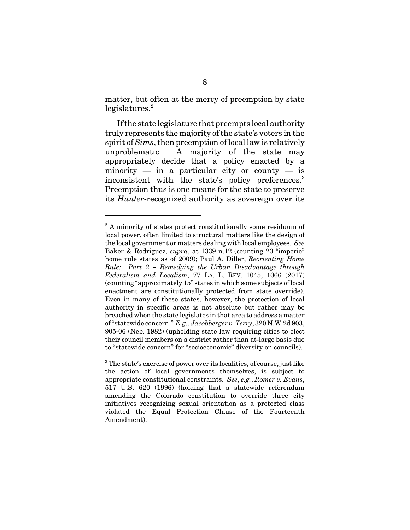matter, but often at the mercy of preemption by state  $legislatures.<sup>2</sup>$ 

If the state legislature that preempts local authority truly represents the majority of the state's voters in the spirit of *Sims*, then preemption of local law is relatively unproblematic. A majority of the state may appropriately decide that a policy enacted by a minority — in a particular city or county — is inconsistent with the state's policy preferences.<sup>3</sup> Preemption thus is one means for the state to preserve its *Hunter*-recognized authority as sovereign over its

<sup>&</sup>lt;sup>2</sup> A minority of states protect constitutionally some residuum of local power, often limited to structural matters like the design of the local government or matters dealing with local employees. *See* Baker & Rodriguez, *supra*, at 1339 n.12 (counting 23 "imperio" home rule states as of 2009); Paul A. Diller, *Reorienting Home Rule: Part 2 – Remedying the Urban Disadvantage through Federalism and Localism*, 77 LA. L. REV. 1045, 1066 (2017) (counting "approximately 15" states in which some subjects of local enactment are constitutionally protected from state override). Even in many of these states, however, the protection of local authority in specific areas is not absolute but rather may be breached when the state legislates in that area to address a matter of "statewide concern." *E.g.*, *Jacobberger v. Terry*, 320 N.W.2d 903, 905-06 (Neb. 1982) (upholding state law requiring cities to elect their council members on a district rather than at-large basis due to "statewide concern" for "socioeconomic" diversity on councils).

<sup>&</sup>lt;sup>3</sup> The state's exercise of power over its localities, of course, just like the action of local governments themselves, is subject to appropriate constitutional constraints. *See*, *e.g.*, *Romer v. Evans*, 517 U.S. 620 (1996) (holding that a statewide referendum amending the Colorado constitution to override three city initiatives recognizing sexual orientation as a protected class violated the Equal Protection Clause of the Fourteenth Amendment).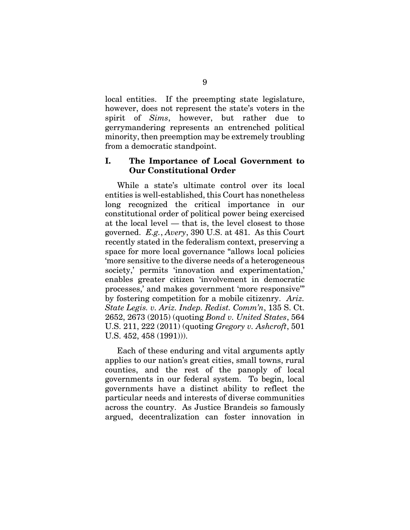local entities. If the preempting state legislature, however, does not represent the state's voters in the spirit of *Sims*, however, but rather due to gerrymandering represents an entrenched political minority, then preemption may be extremely troubling from a democratic standpoint.

# **I. The Importance of Local Government to Our Constitutional Order**

While a state's ultimate control over its local entities is well-established, this Court has nonetheless long recognized the critical importance in our constitutional order of political power being exercised at the local level — that is, the level closest to those governed. *E.g.*, *Avery*, 390 U.S. at 481. As this Court recently stated in the federalism context, preserving a space for more local governance "allows local policies 'more sensitive to the diverse needs of a heterogeneous society,' permits 'innovation and experimentation,' enables greater citizen 'involvement in democratic processes,' and makes government 'more responsive'" by fostering competition for a mobile citizenry. *Ariz. State Legis. v. Ariz. Indep. Redist. Comm'n*, 135 S. Ct. 2652, 2673 (2015) (quoting *Bond v. United States*, 564 U.S. 211, 222 (2011) (quoting *Gregory v. Ashcroft*, 501 U.S. 452, 458 (1991))).

Each of these enduring and vital arguments aptly applies to our nation's great cities, small towns, rural counties, and the rest of the panoply of local governments in our federal system. To begin, local governments have a distinct ability to reflect the particular needs and interests of diverse communities across the country. As Justice Brandeis so famously argued, decentralization can foster innovation in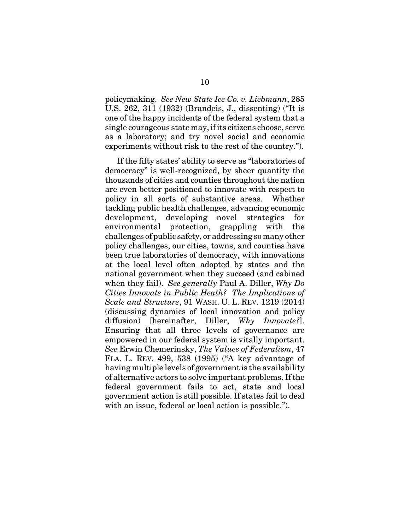policymaking. *See New State Ice Co. v. Liebmann*, 285 U.S. 262, 311 (1932) (Brandeis, J., dissenting) ("It is one of the happy incidents of the federal system that a single courageous state may, if its citizens choose, serve as a laboratory; and try novel social and economic experiments without risk to the rest of the country.").

If the fifty states' ability to serve as "laboratories of democracy" is well-recognized, by sheer quantity the thousands of cities and counties throughout the nation are even better positioned to innovate with respect to policy in all sorts of substantive areas. Whether tackling public health challenges, advancing economic development, developing novel strategies for environmental protection, grappling with the challenges of public safety, or addressing so many other policy challenges, our cities, towns, and counties have been true laboratories of democracy, with innovations at the local level often adopted by states and the national government when they succeed (and cabined when they fail). *See generally* Paul A. Diller, *Why Do Cities Innovate in Public Heath? The Implications of Scale and Structure*, 91 WASH. U. L. REV. 1219 (2014) (discussing dynamics of local innovation and policy diffusion) [hereinafter, Diller, *Why Innovate?*]. Ensuring that all three levels of governance are empowered in our federal system is vitally important. *See* Erwin Chemerinsky, *The Values of Federalism*, 47 FLA. L. REV. 499, 538 (1995) ("A key advantage of having multiple levels of government is the availability of alternative actors to solve important problems. If the federal government fails to act, state and local government action is still possible. If states fail to deal with an issue, federal or local action is possible.").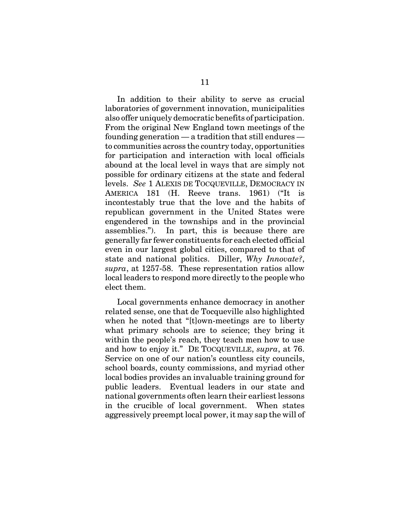In addition to their ability to serve as crucial laboratories of government innovation, municipalities also offer uniquely democratic benefits of participation. From the original New England town meetings of the founding generation — a tradition that still endures to communities across the country today, opportunities for participation and interaction with local officials abound at the local level in ways that are simply not possible for ordinary citizens at the state and federal levels. *See* 1 ALEXIS DE TOCQUEVILLE, DEMOCRACY IN AMERICA 181 (H. Reeve trans. 1961) ("It is incontestably true that the love and the habits of republican government in the United States were engendered in the townships and in the provincial assemblies."). In part, this is because there are generally far fewer constituents for each elected official even in our largest global cities, compared to that of state and national politics. Diller, *Why Innovate?*, *supra*, at 1257-58. These representation ratios allow local leaders to respond more directly to the people who elect them.

Local governments enhance democracy in another related sense, one that de Tocqueville also highlighted when he noted that "[t]own-meetings are to liberty what primary schools are to science; they bring it within the people's reach, they teach men how to use and how to enjoy it." DE TOCQUEVILLE, *supra*, at 76. Service on one of our nation's countless city councils, school boards, county commissions, and myriad other local bodies provides an invaluable training ground for public leaders. Eventual leaders in our state and national governments often learn their earliest lessons in the crucible of local government. When states aggressively preempt local power, it may sap the will of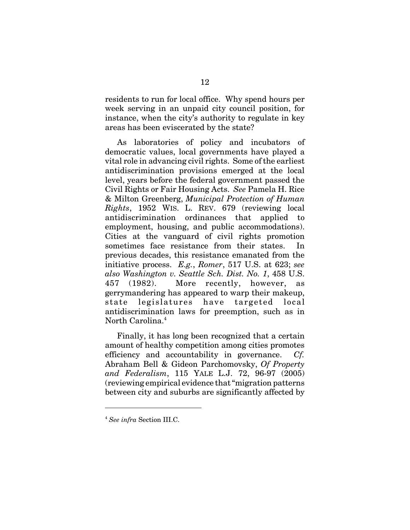residents to run for local office. Why spend hours per week serving in an unpaid city council position, for instance, when the city's authority to regulate in key areas has been eviscerated by the state?

As laboratories of policy and incubators of democratic values, local governments have played a vital role in advancing civil rights. Some of the earliest antidiscrimination provisions emerged at the local level, years before the federal government passed the Civil Rights or Fair Housing Acts. *See* Pamela H. Rice & Milton Greenberg, *Municipal Protection of Human Rights*, 1952 WIS. L. REV. 679 (reviewing local antidiscrimination ordinances that applied to employment, housing, and public accommodations). Cities at the vanguard of civil rights promotion sometimes face resistance from their states. previous decades, this resistance emanated from the initiative process. *E.g.*, *Romer*, 517 U.S. at 623; *see also Washington v. Seattle Sch. Dist. No. 1*, 458 U.S. 457 (1982). More recently, however, as gerrymandering has appeared to warp their makeup, state legislatures have targeted local antidiscrimination laws for preemption, such as in North Carolina.<sup>4</sup>

Finally, it has long been recognized that a certain amount of healthy competition among cities promotes efficiency and accountability in governance. *Cf.* Abraham Bell & Gideon Parchomovsky, *Of Property and Federalism*, 115 YALE L.J. 72, 96-97 (2005) (reviewing empirical evidence that "migration patterns between city and suburbs are significantly affected by

<sup>4</sup> *See infra* Section III.C.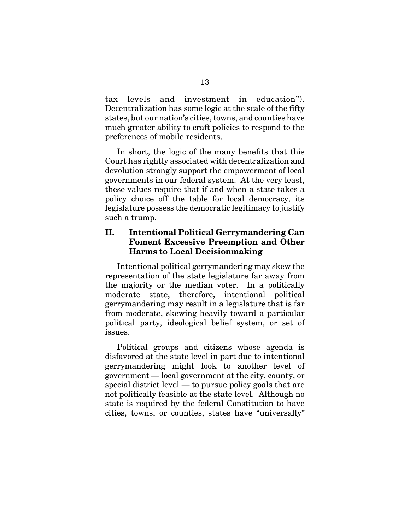tax levels and investment in education"). Decentralization has some logic at the scale of the fifty states, but our nation's cities, towns, and counties have much greater ability to craft policies to respond to the preferences of mobile residents.

In short, the logic of the many benefits that this Court has rightly associated with decentralization and devolution strongly support the empowerment of local governments in our federal system. At the very least, these values require that if and when a state takes a policy choice off the table for local democracy, its legislature possess the democratic legitimacy to justify such a trump.

# **II. Intentional Political Gerrymandering Can Foment Excessive Preemption and Other Harms to Local Decisionmaking**

Intentional political gerrymandering may skew the representation of the state legislature far away from the majority or the median voter. In a politically moderate state, therefore, intentional political gerrymandering may result in a legislature that is far from moderate, skewing heavily toward a particular political party, ideological belief system, or set of issues.

Political groups and citizens whose agenda is disfavored at the state level in part due to intentional gerrymandering might look to another level of government — local government at the city, county, or special district level — to pursue policy goals that are not politically feasible at the state level. Although no state is required by the federal Constitution to have cities, towns, or counties, states have "universally"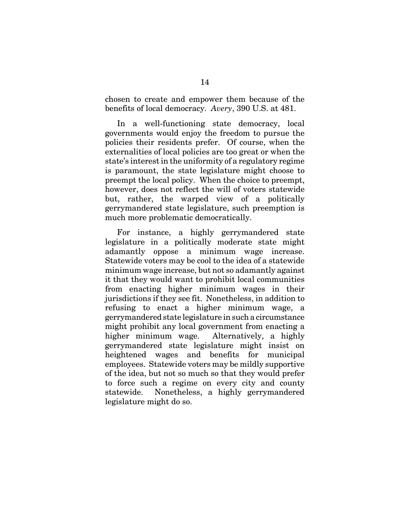chosen to create and empower them because of the benefits of local democracy. *Avery*, 390 U.S. at 481.

In a well-functioning state democracy, local governments would enjoy the freedom to pursue the policies their residents prefer. Of course, when the externalities of local policies are too great or when the state's interest in the uniformity of a regulatory regime is paramount, the state legislature might choose to preempt the local policy. When the choice to preempt, however, does not reflect the will of voters statewide but, rather, the warped view of a politically gerrymandered state legislature, such preemption is much more problematic democratically.

For instance, a highly gerrymandered state legislature in a politically moderate state might adamantly oppose a minimum wage increase. Statewide voters may be cool to the idea of a statewide minimum wage increase, but not so adamantly against it that they would want to prohibit local communities from enacting higher minimum wages in their jurisdictions if they see fit. Nonetheless, in addition to refusing to enact a higher minimum wage, a gerrymandered state legislature in such a circumstance might prohibit any local government from enacting a higher minimum wage. Alternatively, a highly gerrymandered state legislature might insist on heightened wages and benefits for municipal employees. Statewide voters may be mildly supportive of the idea, but not so much so that they would prefer to force such a regime on every city and county statewide. Nonetheless, a highly gerrymandered legislature might do so.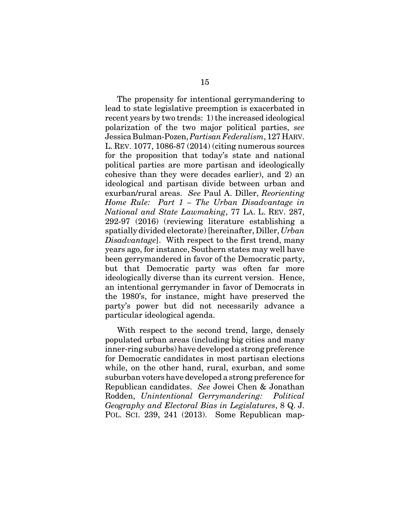The propensity for intentional gerrymandering to lead to state legislative preemption is exacerbated in recent years by two trends: 1) the increased ideological polarization of the two major political parties, *see* Jessica Bulman-Pozen, *Partisan Federalism*, 127 HARV. L. REV. 1077, 1086-87 (2014) (citing numerous sources for the proposition that today's state and national political parties are more partisan and ideologically cohesive than they were decades earlier), and 2) an ideological and partisan divide between urban and exurban/rural areas. *See* Paul A. Diller, *Reorienting Home Rule: Part 1 – The Urban Disadvantage in National and State Lawmaking*, 77 LA. L. REV. 287, 292-97 (2016) (reviewing literature establishing a spatially divided electorate) [hereinafter, Diller, *Urban Disadvantage*]. With respect to the first trend, many years ago, for instance, Southern states may well have been gerrymandered in favor of the Democratic party, but that Democratic party was often far more ideologically diverse than its current version. Hence, an intentional gerrymander in favor of Democrats in the 1980's, for instance, might have preserved the party's power but did not necessarily advance a particular ideological agenda.

With respect to the second trend, large, densely populated urban areas (including big cities and many inner-ring suburbs) have developed a strong preference for Democratic candidates in most partisan elections while, on the other hand, rural, exurban, and some suburban voters have developed a strong preference for Republican candidates. *See* Jowei Chen & Jonathan Rodden, *Unintentional Gerrymandering: Political Geography and Electoral Bias in Legislatures*, 8 Q. J. POL. SCI. 239, 241 (2013). Some Republican map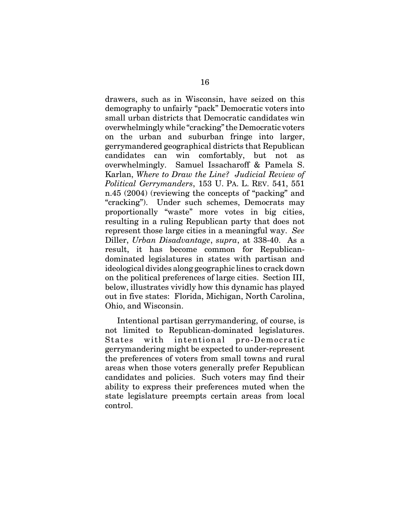drawers, such as in Wisconsin, have seized on this demography to unfairly "pack" Democratic voters into small urban districts that Democratic candidates win overwhelmingly while "cracking" the Democratic voters on the urban and suburban fringe into larger, gerrymandered geographical districts that Republican candidates can win comfortably, but not as overwhelmingly. Samuel Issacharoff & Pamela S. Karlan, *Where to Draw the Line? Judicial Review of Political Gerrymanders*, 153 U. PA. L. REV. 541, 551 n.45 (2004) (reviewing the concepts of "packing" and "cracking"). Under such schemes, Democrats may proportionally "waste" more votes in big cities, resulting in a ruling Republican party that does not represent those large cities in a meaningful way. *See* Diller, *Urban Disadvantage*, *supra*, at 338-40. As a result, it has become common for Republicandominated legislatures in states with partisan and ideological divides along geographic lines to crack down on the political preferences of large cities. Section III, below, illustrates vividly how this dynamic has played out in five states: Florida, Michigan, North Carolina, Ohio, and Wisconsin.

Intentional partisan gerrymandering, of course, is not limited to Republican-dominated legislatures. States with intentional pro-Democratic gerrymandering might be expected to under-represent the preferences of voters from small towns and rural areas when those voters generally prefer Republican candidates and policies. Such voters may find their ability to express their preferences muted when the state legislature preempts certain areas from local control.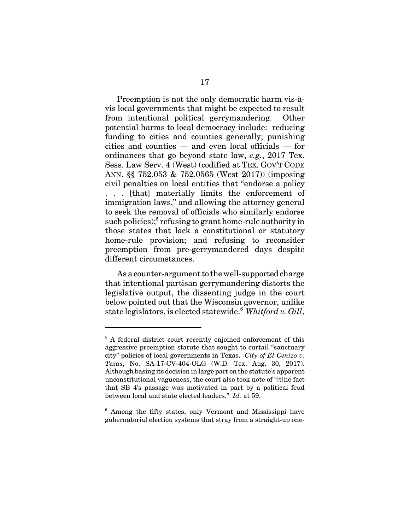Preemption is not the only democratic harm vis-àvis local governments that might be expected to result from intentional political gerrymandering. Other potential harms to local democracy include: reducing funding to cities and counties generally; punishing cities and counties — and even local officials — for ordinances that go beyond state law, *e.g.*, 2017 Tex. Sess. Law Serv. 4 (West) (codified at TEX. GOV'T CODE ANN. §§ 752.053 & 752.0565 (West 2017)) (imposing civil penalties on local entities that "endorse a policy . . . [that] materially limits the enforcement of immigration laws," and allowing the attorney general to seek the removal of officials who similarly endorse such policies); $5$  refusing to grant home-rule authority in those states that lack a constitutional or statutory home-rule provision; and refusing to reconsider preemption from pre-gerrymandered days despite different circumstances.

As a counter-argument to the well-supported charge that intentional partisan gerrymandering distorts the legislative output, the dissenting judge in the court below pointed out that the Wisconsin governor, unlike state legislators, is elected statewide.<sup>6</sup> *Whitford v. Gill*,

<sup>&</sup>lt;sup>5</sup> A federal district court recently enjoined enforcement of this aggressive preemption statute that sought to curtail "sanctuary city" policies of local governments in Texas. *City of El Cenizo v. Texas*, No. SA-17-CV-404-OLG (W.D. Tex. Aug. 30, 2017). Although basing its decision in large part on the statute's apparent unconstitutional vagueness, the court also took note of "[t]he fact that SB 4's passage was motivated in part by a political feud between local and state elected leaders." *Id.* at 59.

<sup>&</sup>lt;sup>6</sup> Among the fifty states, only Vermont and Mississippi have gubernatorial election systems that stray from a straight-up one-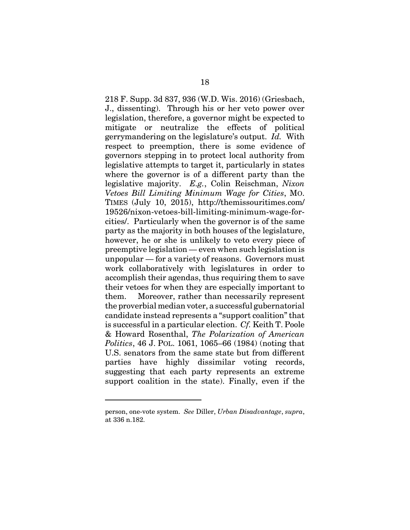218 F. Supp. 3d 837, 936 (W.D. Wis. 2016) (Griesbach, J., dissenting). Through his or her veto power over legislation, therefore, a governor might be expected to mitigate or neutralize the effects of political gerrymandering on the legislature's output. *Id.* With respect to preemption, there is some evidence of governors stepping in to protect local authority from legislative attempts to target it, particularly in states where the governor is of a different party than the legislative majority. *E.g.*, Colin Reischman, *Nixon Vetoes Bill Limiting Minimum Wage for Cities*, MO. TIMES (July 10, 2015), http://themissouritimes.com/ 19526/nixon-vetoes-bill-limiting-minimum-wage-forcities/. Particularly when the governor is of the same party as the majority in both houses of the legislature, however, he or she is unlikely to veto every piece of preemptive legislation — even when such legislation is unpopular — for a variety of reasons. Governors must work collaboratively with legislatures in order to accomplish their agendas, thus requiring them to save their vetoes for when they are especially important to them. Moreover, rather than necessarily represent the proverbial median voter, a successful gubernatorial candidate instead represents a "support coalition" that is successful in a particular election. *Cf.* Keith T. Poole & Howard Rosenthal, *The Polarization of American Politics*, 46 J. POL. 1061, 1065–66 (1984) (noting that U.S. senators from the same state but from different parties have highly dissimilar voting records, suggesting that each party represents an extreme support coalition in the state). Finally, even if the

person, one-vote system. *See* Diller, *Urban Disadvantage*, *supra*, at 336 n.182.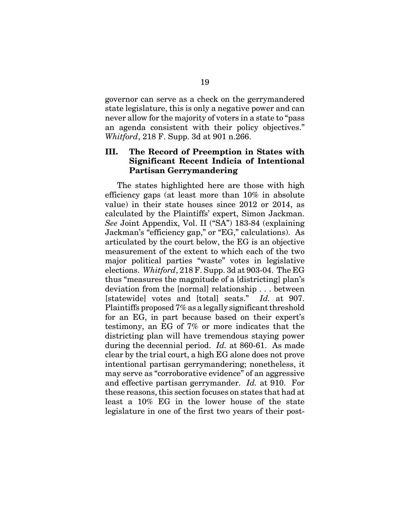governor can serve as a check on the gerrymandered state legislature, this is only a negative power and can never allow for the majority of voters in a state to "pass an agenda consistent with their policy objectives." *Whitford*, 218 F. Supp. 3d at 901 n.266.

# **III. The Record of Preemption in States with Significant Recent Indicia of Intentional Partisan Gerrymandering**

The states highlighted here are those with high efficiency gaps (at least more than 10% in absolute value) in their state houses since 2012 or 2014, as calculated by the Plaintiffs' expert, Simon Jackman. *See* Joint Appendix, Vol. II ("SA") 183-84 (explaining Jackman's "efficiency gap," or "EG," calculations). As articulated by the court below, the EG is an objective measurement of the extent to which each of the two major political parties "waste" votes in legislative elections. *Whitford*, 218 F. Supp. 3d at 903-04. The EG thus "measures the magnitude of a [districting] plan's deviation from the [normal] relationship . . . between [statewide] votes and [total] seats." *Id.* at 907. Plaintiffs proposed 7% as a legally significant threshold for an EG, in part because based on their expert's testimony, an EG of 7% or more indicates that the districting plan will have tremendous staying power during the decennial period. *Id.* at 860-61. As made clear by the trial court, a high EG alone does not prove intentional partisan gerrymandering; nonetheless, it may serve as "corroborative evidence" of an aggressive and effective partisan gerrymander. *Id.* at 910. For these reasons, this section focuses on states that had at least a 10% EG in the lower house of the state legislature in one of the first two years of their post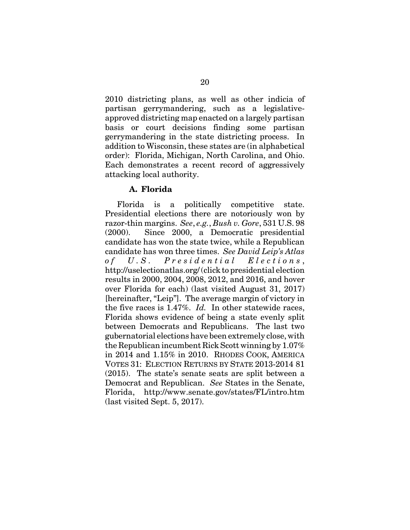2010 districting plans, as well as other indicia of partisan gerrymandering, such as a legislativeapproved districting map enacted on a largely partisan basis or court decisions finding some partisan gerrymandering in the state districting process. In addition to Wisconsin, these states are (in alphabetical order): Florida, Michigan, North Carolina, and Ohio. Each demonstrates a recent record of aggressively attacking local authority.

# **A. Florida**

Florida is a politically competitive state. Presidential elections there are notoriously won by razor-thin margins. *See*, *e.g.*, *Bush v. Gore*, 531 U.S. 98 (2000). Since 2000, a Democratic presidential candidate has won the state twice, while a Republican candidate has won three times. *See David Leip's Atlas of U.S. Presidential Elections* , http://uselectionatlas.org/ (click to presidential election results in 2000, 2004, 2008, 2012, and 2016, and hover over Florida for each) (last visited August 31, 2017) [hereinafter, "Leip"]. The average margin of victory in the five races is 1.47%. *Id.* In other statewide races, Florida shows evidence of being a state evenly split between Democrats and Republicans. The last two gubernatorial elections have been extremely close, with the Republican incumbent Rick Scott winning by 1.07% in 2014 and 1.15% in 2010. RHODES COOK, AMERICA VOTES 31: ELECTION RETURNS BY STATE 2013-2014 81 (2015). The state's senate seats are split between a Democrat and Republican. *See* States in the Senate, Florida, http://www.senate.gov/states/FL/intro.htm (last visited Sept. 5, 2017).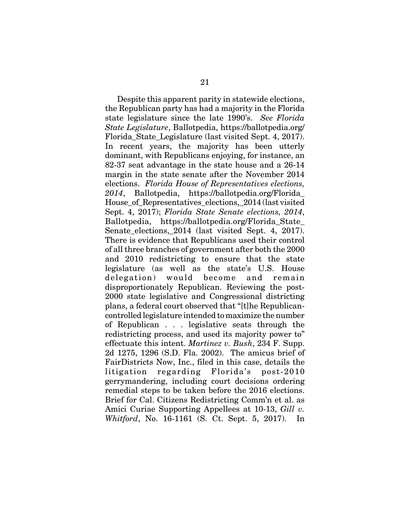Despite this apparent parity in statewide elections, the Republican party has had a majority in the Florida state legislature since the late 1990's. *See Florida State Legislature*, Ballotpedia, https://ballotpedia.org/ Florida\_State\_Legislature (last visited Sept. 4, 2017). In recent years, the majority has been utterly dominant, with Republicans enjoying, for instance, an 82-37 seat advantage in the state house and a 26-14 margin in the state senate after the November 2014 elections. *Florida House of Representatives elections, 2014*, Ballotpedia, https://ballotpedia.org/Florida\_ House of Representatives elections,  $2014$  (last visited Sept. 4, 2017); *Florida State Senate elections, 2014*, Ballotpedia, https://ballotpedia.org/Florida\_State\_ Senate elections, 2014 (last visited Sept. 4, 2017). There is evidence that Republicans used their control of all three branches of government after both the 2000 and 2010 redistricting to ensure that the state legislature (as well as the state's U.S. House delegation) would become and remain disproportionately Republican. Reviewing the post-2000 state legislative and Congressional districting plans, a federal court observed that "[t]he Republicancontrolled legislature intended to maximize the number of Republican . . . legislative seats through the redistricting process, and used its majority power to" effectuate this intent. *Martinez v. Bush*, 234 F. Supp. 2d 1275, 1296 (S.D. Fla. 2002). The amicus brief of FairDistricts Now, Inc., filed in this case, details the litigation regarding Florida's post-2010 gerrymandering, including court decisions ordering remedial steps to be taken before the 2016 elections. Brief for Cal. Citizens Redistricting Comm'n et al. as Amici Curiae Supporting Appellees at 10-13, *Gill v. Whitford*, No. 16-1161 (S. Ct. Sept. 5, 2017). In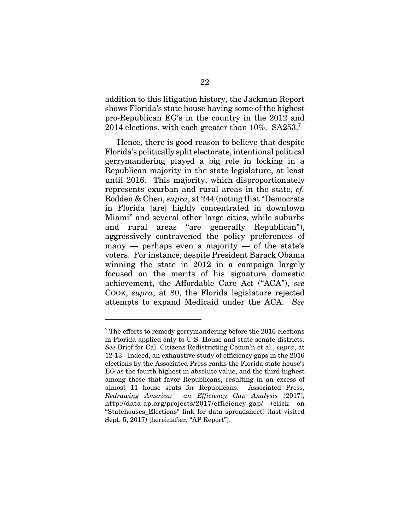addition to this litigation history, the Jackman Report shows Florida's state house having some of the highest pro-Republican EG's in the country in the 2012 and 2014 elections, with each greater than  $10\%$ . SA253.<sup>7</sup>

Hence, there is good reason to believe that despite Florida's politically split electorate, intentional political gerrymandering played a big role in locking in a Republican majority in the state legislature, at least until 2016. This majority, which disproportionately represents exurban and rural areas in the state, *cf.* Rodden & Chen, *supra*, at 244 (noting that "Democrats in Florida [are] highly concentrated in downtown Miami" and several other large cities, while suburbs and rural areas "are generally Republican"), aggressively contravened the policy preferences of many — perhaps even a majority — of the state's voters. For instance, despite President Barack Obama winning the state in 2012 in a campaign largely focused on the merits of his signature domestic achievement, the Affordable Care Act ("ACA"), *see* COOK, *supra*, at 80, the Florida legislature rejected attempts to expand Medicaid under the ACA. *See*

<sup>&</sup>lt;sup>7</sup> The efforts to remedy gerrymandering before the 2016 elections in Florida applied only to U.S. House and state senate districts. *See* Brief for Cal. Citizens Redistricting Comm'n et al., *supra*, at 12-13. Indeed, an exhaustive study of efficiency gaps in the 2016 elections by the Associated Press ranks the Florida state house's EG as the fourth highest in absolute value, and the third highest among those that favor Republicans, resulting in an excess of almost 11 house seats for Republicans. Associated Press, *Redrawing America: an Efficiency Gap Analysis* (2017), http://data.ap.org/projects/2017/efficiency-gap/ (click on "Statehouses\_Elections" link for data spreadsheet) (last visited Sept. 5, 2017) [hereinafter, "AP Report"].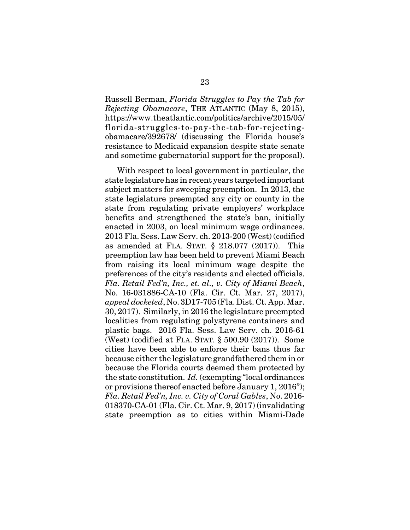Russell Berman, *Florida Struggles to Pay the Tab for Rejecting Obamacare*, THE ATLANTIC (May 8, 2015), https://www.theatlantic.com/politics/archive/2015/05/ florida-struggles-to-pay-the-tab-for-rejectingobamacare/392678/ (discussing the Florida house's resistance to Medicaid expansion despite state senate and sometime gubernatorial support for the proposal).

With respect to local government in particular, the state legislature has in recent years targeted important subject matters for sweeping preemption. In 2013, the state legislature preempted any city or county in the state from regulating private employers' workplace benefits and strengthened the state's ban, initially enacted in 2003, on local minimum wage ordinances. 2013 Fla. Sess. Law Serv. ch. 2013-200 (West) (codified as amended at FLA. STAT. § 218.077 (2017)). This preemption law has been held to prevent Miami Beach from raising its local minimum wage despite the preferences of the city's residents and elected officials. *Fla. Retail Fed'n, Inc., et. al., v. City of Miami Beach*, No. 16-031886-CA-10 (Fla. Cir. Ct. Mar. 27, 2017), *appeal docketed*, No. 3D17-705 (Fla. Dist. Ct. App. Mar. 30, 2017). Similarly, in 2016 the legislature preempted localities from regulating polystyrene containers and plastic bags. 2016 Fla. Sess. Law Serv. ch. 2016-61 (West) (codified at FLA. STAT. § 500.90 (2017)). Some cities have been able to enforce their bans thus far because either the legislature grandfathered them in or because the Florida courts deemed them protected by the state constitution. *Id.* (exempting "local ordinances or provisions thereof enacted before January 1, 2016"); *Fla. Retail Fed'n, Inc. v. City of Coral Gables*, No. 2016- 018370-CA-01 (Fla. Cir. Ct. Mar. 9, 2017) (invalidating state preemption as to cities within Miami-Dade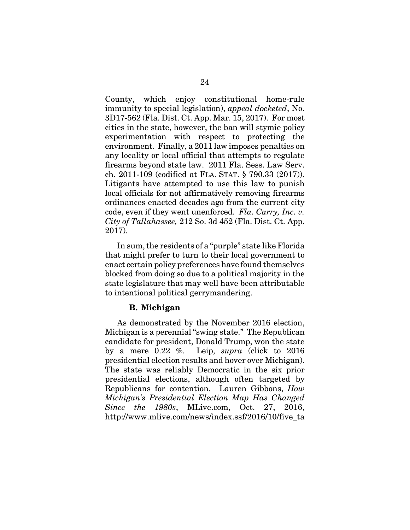County, which enjoy constitutional home-rule immunity to special legislation), *appeal docketed*, No. 3D17-562 (Fla. Dist. Ct. App. Mar. 15, 2017). For most cities in the state, however, the ban will stymie policy experimentation with respect to protecting the environment. Finally, a 2011 law imposes penalties on any locality or local official that attempts to regulate firearms beyond state law. 2011 Fla. Sess. Law Serv. ch. 2011-109 (codified at FLA. STAT. § 790.33 (2017)). Litigants have attempted to use this law to punish local officials for not affirmatively removing firearms ordinances enacted decades ago from the current city code, even if they went unenforced. *Fla. Carry, Inc. v. City of Tallahassee,* 212 So. 3d 452 (Fla. Dist. Ct. App. 2017).

In sum, the residents of a "purple" state like Florida that might prefer to turn to their local government to enact certain policy preferences have found themselves blocked from doing so due to a political majority in the state legislature that may well have been attributable to intentional political gerrymandering.

### **B. Michigan**

As demonstrated by the November 2016 election, Michigan is a perennial "swing state." The Republican candidate for president, Donald Trump, won the state by a mere 0.22 %. Leip, *supra* (click to 2016 presidential election results and hover over Michigan). The state was reliably Democratic in the six prior presidential elections, although often targeted by Republicans for contention. Lauren Gibbons, *How Michigan's Presidential Election Map Has Changed Since the 1980s*, MLive.com, Oct. 27, 2016, http://www.mlive.com/news/index.ssf/2016/10/five\_ta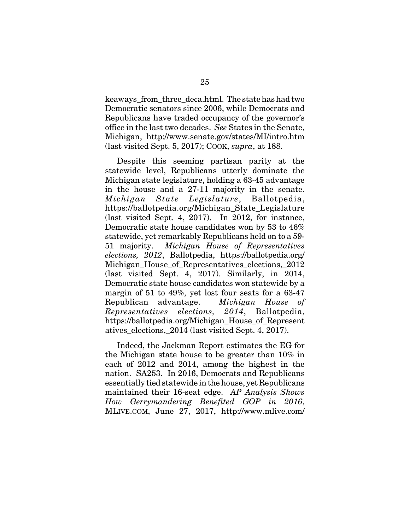keaways from three deca.html. The state has had two Democratic senators since 2006, while Democrats and Republicans have traded occupancy of the governor's office in the last two decades. *See* States in the Senate, Michigan, http://www.senate.gov/states/MI/intro.htm (last visited Sept. 5, 2017); COOK, *supra*, at 188.

Despite this seeming partisan parity at the statewide level, Republicans utterly dominate the Michigan state legislature, holding a 63-45 advantage in the house and a 27-11 majority in the senate. *Michigan State Legislature*, Ballotpedia, https://ballotpedia.org/Michigan\_State\_Legislature (last visited Sept. 4, 2017). In 2012, for instance, Democratic state house candidates won by 53 to 46% statewide, yet remarkably Republicans held on to a 59- 51 majority. *Michigan House of Representatives elections, 2012*, Ballotpedia, https://ballotpedia.org/ Michigan\_House\_of\_Representatives\_elections,\_2012 (last visited Sept. 4, 2017). Similarly, in 2014, Democratic state house candidates won statewide by a margin of 51 to 49%, yet lost four seats for a 63-47 Republican advantage. *Michigan House of Representatives elections, 2014*, Ballotpedia, https://ballotpedia.org/Michigan\_House\_of\_Represent atives\_elections,\_2014 (last visited Sept. 4, 2017).

Indeed, the Jackman Report estimates the EG for the Michigan state house to be greater than 10% in each of 2012 and 2014, among the highest in the nation. SA253. In 2016, Democrats and Republicans essentially tied statewide in the house, yet Republicans maintained their 16-seat edge. *AP Analysis Shows How Gerrymandering Benefited GOP in 2016*, MLIVE.COM, June 27, 2017, http://www.mlive.com/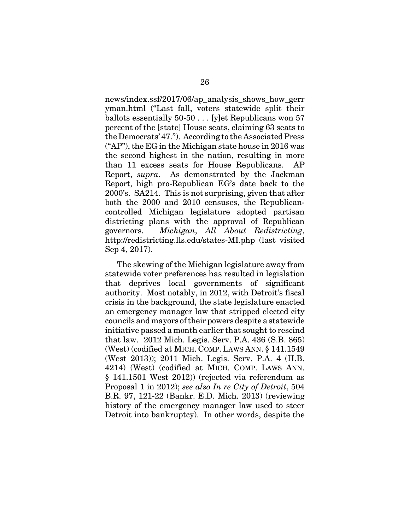news/index.ssf/2017/06/ap\_analysis\_shows\_how\_gerr yman.html ("Last fall, voters statewide split their ballots essentially 50-50 . . . [y]et Republicans won 57 percent of the [state] House seats, claiming 63 seats to the Democrats' 47."). According to the Associated Press ("AP"), the EG in the Michigan state house in 2016 was the second highest in the nation, resulting in more than 11 excess seats for House Republicans. AP Report, *supra*. As demonstrated by the Jackman Report, high pro-Republican EG's date back to the 2000's. SA214. This is not surprising, given that after both the 2000 and 2010 censuses, the Republicancontrolled Michigan legislature adopted partisan districting plans with the approval of Republican governors. *Michigan*, *All About Redistricting*, http://redistricting.lls.edu/states-MI.php (last visited Sep 4, 2017).

The skewing of the Michigan legislature away from statewide voter preferences has resulted in legislation that deprives local governments of significant authority. Most notably, in 2012, with Detroit's fiscal crisis in the background, the state legislature enacted an emergency manager law that stripped elected city councils and mayors of their powers despite a statewide initiative passed a month earlier that sought to rescind that law. 2012 Mich. Legis. Serv. P.A. 436 (S.B. 865) (West) (codified at MICH. COMP. LAWS ANN. § 141.1549 (West 2013)); 2011 Mich. Legis. Serv. P.A. 4 (H.B. 4214) (West) (codified at MICH. COMP. LAWS ANN. § 141.1501 West 2012)) (rejected via referendum as Proposal 1 in 2012); *see also In re City of Detroit*, 504 B.R. 97, 121-22 (Bankr. E.D. Mich. 2013) (reviewing history of the emergency manager law used to steer Detroit into bankruptcy). In other words, despite the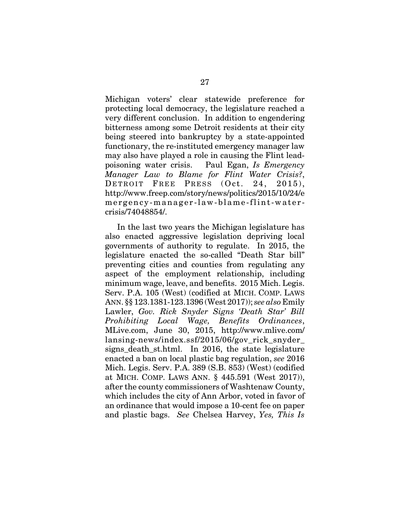Michigan voters' clear statewide preference for protecting local democracy, the legislature reached a very different conclusion. In addition to engendering bitterness among some Detroit residents at their city being steered into bankruptcy by a state-appointed functionary, the re-instituted emergency manager law may also have played a role in causing the Flint leadpoisoning water crisis. Paul Egan, *Is Emergency Manager Law to Blame for Flint Water Crisis?*, DETROIT FREE PRESS (Oct. 24, 2015), http://www.freep.com/story/news/politics/2015/10/24/e mergency-manager-law-blame-flint-watercrisis/74048854/.

In the last two years the Michigan legislature has also enacted aggressive legislation depriving local governments of authority to regulate. In 2015, the legislature enacted the so-called "Death Star bill" preventing cities and counties from regulating any aspect of the employment relationship, including minimum wage, leave, and benefits. 2015 Mich. Legis. Serv. P.A. 105 (West) (codified at MICH. COMP. LAWS ANN. §§ 123.1381-123.1396 (West 2017)); *see also* Emily Lawler, *Gov. Rick Snyder Signs 'Death Star' Bill Prohibiting Local Wage, Benefits Ordinances*, MLive.com, June 30, 2015, http://www.mlive.com/ lansing-news/index.ssf/2015/06/gov\_rick\_snyder\_ signs death st.html. In 2016, the state legislature enacted a ban on local plastic bag regulation, *see* 2016 Mich. Legis. Serv. P.A. 389 (S.B. 853) (West) (codified at MICH. COMP. LAWS ANN. § 445.591 (West 2017)), after the county commissioners of Washtenaw County, which includes the city of Ann Arbor, voted in favor of an ordinance that would impose a 10-cent fee on paper and plastic bags. *See* Chelsea Harvey, *Yes, This Is*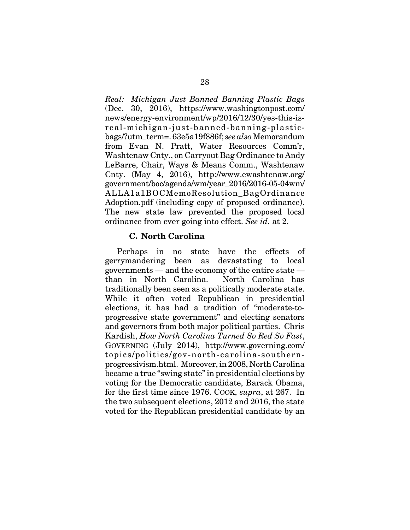*Real: Michigan Just Banned Banning Plastic Bags* (Dec. 30, 2016), https://www.washingtonpost.com/ news/energy-environment/wp/2016/12/30/yes-this-isreal-michigan-just-banned-banning-plasticbags/?utm\_term=. 63e5a19f886f; *see also* Memorandum from Evan N. Pratt, Water Resources Comm'r, Washtenaw Cnty., on Carryout Bag Ordinance to Andy LeBarre, Chair, Ways & Means Comm., Washtenaw Cnty. (May 4, 2016), http://www.ewashtenaw.org/ government/boc/agenda/wm/year\_2016/2016-05-04wm/ ALLA1a1BOCMemoResolution\_BagOrdinance Adoption.pdf (including copy of proposed ordinance). The new state law prevented the proposed local ordinance from ever going into effect. *See id.* at 2.

### **C. North Carolina**

Perhaps in no state have the effects of gerrymandering been as devastating to local governments — and the economy of the entire state than in North Carolina. North Carolina has traditionally been seen as a politically moderate state. While it often voted Republican in presidential elections, it has had a tradition of "moderate-toprogressive state government" and electing senators and governors from both major political parties. Chris Kardish, *How North Carolina Turned So Red So Fast*, GOVERNING (July 2014), http://www.governing.com/ topics/politics/gov-north-carolina-southernprogressivism.html. Moreover, in 2008, North Carolina became a true "swing state" in presidential elections by voting for the Democratic candidate, Barack Obama, for the first time since 1976. COOK, *supra*, at 267. In the two subsequent elections, 2012 and 2016, the state voted for the Republican presidential candidate by an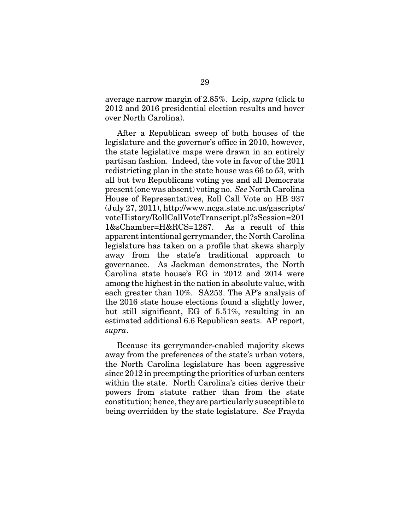average narrow margin of 2.85%. Leip, *supra* (click to 2012 and 2016 presidential election results and hover over North Carolina).

After a Republican sweep of both houses of the legislature and the governor's office in 2010, however, the state legislative maps were drawn in an entirely partisan fashion. Indeed, the vote in favor of the 2011 redistricting plan in the state house was 66 to 53, with all but two Republicans voting yes and all Democrats present (one was absent) voting no. *See* North Carolina House of Representatives, Roll Call Vote on HB 937 (July 27, 2011), http://www.ncga.state.nc.us/gascripts/ voteHistory/RollCallVoteTranscript.pl?sSession=201 1&sChamber=H&RCS=1287. As a result of this apparent intentional gerrymander, the North Carolina legislature has taken on a profile that skews sharply away from the state's traditional approach to governance. As Jackman demonstrates, the North Carolina state house's EG in 2012 and 2014 were among the highest in the nation in absolute value, with each greater than 10%. SA253. The AP's analysis of the 2016 state house elections found a slightly lower, but still significant, EG of 5.51%, resulting in an estimated additional 6.6 Republican seats. AP report, *supra*.

Because its gerrymander-enabled majority skews away from the preferences of the state's urban voters, the North Carolina legislature has been aggressive since 2012 in preempting the priorities of urban centers within the state. North Carolina's cities derive their powers from statute rather than from the state constitution; hence, they are particularly susceptible to being overridden by the state legislature. *See* Frayda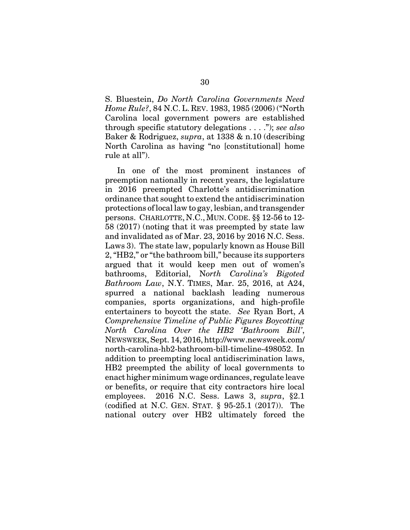S. Bluestein, *Do North Carolina Governments Need Home Rule?*, 84 N.C. L. REV. 1983, 1985 (2006) ("North Carolina local government powers are established through specific statutory delegations . . . ."); *see also* Baker & Rodriguez, *supra*, at 1338 & n.10 (describing North Carolina as having "no [constitutional] home rule at all").

In one of the most prominent instances of preemption nationally in recent years, the legislature in 2016 preempted Charlotte's antidiscrimination ordinance that sought to extend the antidiscrimination protections of local law to gay, lesbian, and transgender persons. CHARLOTTE, N.C.,MUN. CODE. §§ 12-56 to 12- 58 (2017) (noting that it was preempted by state law and invalidated as of Mar. 23, 2016 by 2016 N.C. Sess. Laws 3). The state law, popularly known as House Bill 2, "HB2," or "the bathroom bill," because its supporters argued that it would keep men out of women's bathrooms, Editorial, N*orth Carolina's Bigoted Bathroom Law*, N.Y. TIMES, Mar. 25, 2016, at A24, spurred a national backlash leading numerous companies, sports organizations, and high-profile entertainers to boycott the state. *See* Ryan Bort, *A Comprehensive Timeline of Public Figures Boycotting North Carolina Over the HB2 'Bathroom Bill'*, NEWSWEEK, Sept. 14, 2016, http://www.newsweek.com/ north-carolina-hb2-bathroom-bill-timeline-498052. In addition to preempting local antidiscrimination laws, HB2 preempted the ability of local governments to enact higher minimum wage ordinances, regulate leave or benefits, or require that city contractors hire local employees. 2016 N.C. Sess. Laws 3, *supra*, §2.1 (codified at N.C. GEN. STAT. § 95-25.1 (2017)). The national outcry over HB2 ultimately forced the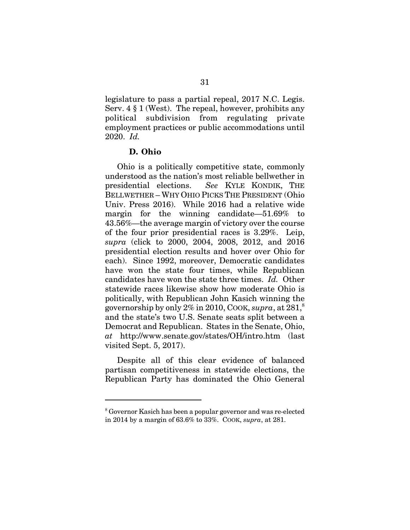legislature to pass a partial repeal, 2017 N.C. Legis. Serv. 4 § 1 (West). The repeal, however, prohibits any political subdivision from regulating private employment practices or public accommodations until 2020. *Id.*

### **D. Ohio**

Ohio is a politically competitive state, commonly understood as the nation's most reliable bellwether in presidential elections. *See* KYLE KONDIK, THE BELLWETHER – WHY OHIO PICKS THE PRESIDENT (Ohio Univ. Press 2016). While 2016 had a relative wide margin for the winning candidate—51.69% to 43.56%—the average margin of victory over the course of the four prior presidential races is 3.29%. Leip, *supra* (click to 2000, 2004, 2008, 2012, and 2016 presidential election results and hover over Ohio for each). Since 1992, moreover, Democratic candidates have won the state four times, while Republican candidates have won the state three times. *Id.* Other statewide races likewise show how moderate Ohio is politically, with Republican John Kasich winning the governorship by only  $2\%$  in 2010, COOK, *supra*, at  $281$ <sup>8</sup> and the state's two U.S. Senate seats split between a Democrat and Republican. States in the Senate, Ohio, *at* http://www.senate.gov/states/OH/intro.htm (last visited Sept. 5, 2017).

Despite all of this clear evidence of balanced partisan competitiveness in statewide elections, the Republican Party has dominated the Ohio General

<sup>&</sup>lt;sup>8</sup> Governor Kasich has been a popular governor and was re-elected in 2014 by a margin of 63.6% to 33%. COOK, *supra*, at 281.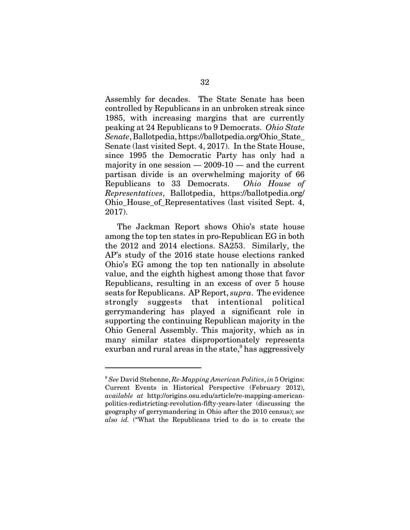Assembly for decades. The State Senate has been controlled by Republicans in an unbroken streak since 1985, with increasing margins that are currently peaking at 24 Republicans to 9 Democrats. *Ohio State Senate*, Ballotpedia, https://ballotpedia.org/Ohio\_State\_ Senate (last visited Sept. 4, 2017). In the State House, since 1995 the Democratic Party has only had a majority in one session  $-2009-10$   $-$  and the current partisan divide is an overwhelming majority of 66 Republicans to 33 Democrats. *Ohio House of Representatives*, Ballotpedia, https://ballotpedia.org/ Ohio\_House\_of\_Representatives (last visited Sept. 4, 2017).

The Jackman Report shows Ohio's state house among the top ten states in pro-Republican EG in both the 2012 and 2014 elections. SA253. Similarly, the AP's study of the 2016 state house elections ranked Ohio's EG among the top ten nationally in absolute value, and the eighth highest among those that favor Republicans, resulting in an excess of over 5 house seats for Republicans. AP Report, *supra*. The evidence strongly suggests that intentional political gerrymandering has played a significant role in supporting the continuing Republican majority in the Ohio General Assembly. This majority, which as in many similar states disproportionately represents exurban and rural areas in the state, $9$  has aggressively

<sup>9</sup> *See* David Stebenne, *Re-Mapping American Politics*, *in* 5 Origins: Current Events in Historical Perspective (February 2012), *available at* http://origins.osu.edu/article/re-mapping-americanpolitics-redistricting-revolution-fifty-years-later (discussing the geography of gerrymandering in Ohio after the 2010 census); *see also id.* ("What the Republicans tried to do is to create the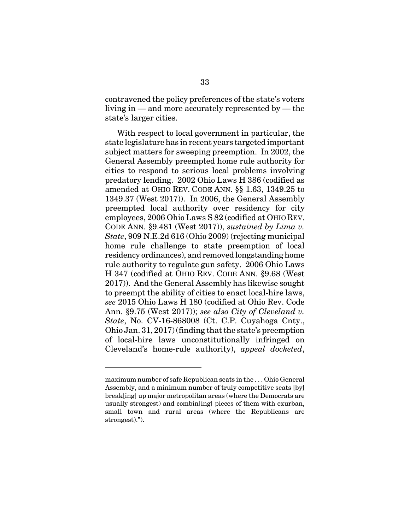contravened the policy preferences of the state's voters living in — and more accurately represented by — the state's larger cities.

With respect to local government in particular, the state legislature has in recent years targeted important subject matters for sweeping preemption. In 2002, the General Assembly preempted home rule authority for cities to respond to serious local problems involving predatory lending. 2002 Ohio Laws H 386 (codified as amended at OHIO REV. CODE ANN. §§ 1.63, 1349.25 to 1349.37 (West 2017)). In 2006, the General Assembly preempted local authority over residency for city employees, 2006 Ohio Laws S 82 (codified at OHIO REV. CODE ANN. §9.481 (West 2017)), *sustained by Lima v. State*, 909 N.E.2d 616 (Ohio 2009) (rejecting municipal home rule challenge to state preemption of local residency ordinances), and removed longstanding home rule authority to regulate gun safety. 2006 Ohio Laws H 347 (codified at OHIO REV. CODE ANN. §9.68 (West 2017)). And the General Assembly has likewise sought to preempt the ability of cities to enact local-hire laws, *see* 2015 Ohio Laws H 180 (codified at Ohio Rev. Code Ann. §9.75 (West 2017)); *see also City of Cleveland v. State*, No. CV-16-868008 (Ct. C.P. Cuyahoga Cnty., Ohio Jan. 31, 2017) (finding that the state's preemption of local-hire laws unconstitutionally infringed on Cleveland's home-rule authority), *appeal docketed*,

maximum number of safe Republican seats in the . . . Ohio General Assembly, and a minimum number of truly competitive seats [by] break[ing] up major metropolitan areas (where the Democrats are usually strongest) and combin[ing] pieces of them with exurban, small town and rural areas (where the Republicans are strongest).").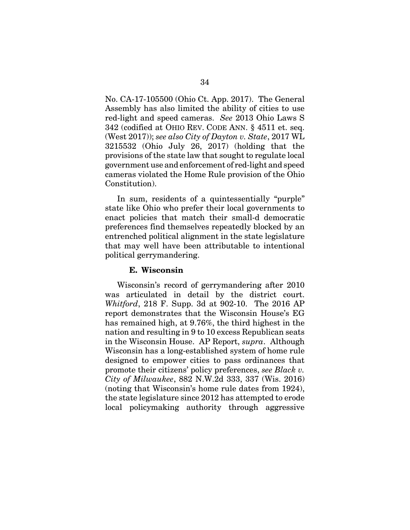No. CA-17-105500 (Ohio Ct. App. 2017). The General Assembly has also limited the ability of cities to use red-light and speed cameras. *See* 2013 Ohio Laws S 342 (codified at OHIO REV. CODE ANN. § 4511 et. seq. (West 2017)); *see also City of Dayton v. State*, 2017 WL 3215532 (Ohio July 26, 2017) (holding that the provisions of the state law that sought to regulate local government use and enforcement of red-light and speed cameras violated the Home Rule provision of the Ohio Constitution).

In sum, residents of a quintessentially "purple" state like Ohio who prefer their local governments to enact policies that match their small-d democratic preferences find themselves repeatedly blocked by an entrenched political alignment in the state legislature that may well have been attributable to intentional political gerrymandering.

### **E. Wisconsin**

Wisconsin's record of gerrymandering after 2010 was articulated in detail by the district court. *Whitford*, 218 F. Supp. 3d at 902-10. The 2016 AP report demonstrates that the Wisconsin House's EG has remained high, at 9.76%, the third highest in the nation and resulting in 9 to 10 excess Republican seats in the Wisconsin House. AP Report, *supra*. Although Wisconsin has a long-established system of home rule designed to empower cities to pass ordinances that promote their citizens' policy preferences, *see Black v. City of Milwaukee*, 882 N.W.2d 333, 337 (Wis. 2016) (noting that Wisconsin's home rule dates from 1924), the state legislature since 2012 has attempted to erode local policymaking authority through aggressive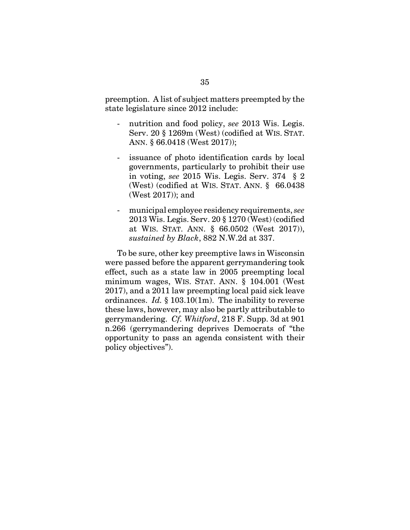preemption. A list of subject matters preempted by the state legislature since 2012 include:

- nutrition and food policy, see 2013 Wis. Legis. Serv. 20 § 1269m (West) (codified at WIS. STAT. ANN. § 66.0418 (West 2017));
- issuance of photo identification cards by local governments, particularly to prohibit their use in voting, *see* 2015 Wis. Legis. Serv. 374 § 2 (West) (codified at WIS. STAT. ANN. § 66.0438 (West 2017)); and
- municipal employee residency requirements, *see* 2013 Wis. Legis. Serv. 20 § 1270 (West) (codified at WIS. STAT. ANN. § 66.0502 (West 2017)), *sustained by Black*, 882 N.W.2d at 337.

To be sure, other key preemptive laws in Wisconsin were passed before the apparent gerrymandering took effect, such as a state law in 2005 preempting local minimum wages, WIS. STAT. ANN. § 104.001 (West 2017), and a 2011 law preempting local paid sick leave ordinances. *Id.* § 103.10(1m). The inability to reverse these laws, however, may also be partly attributable to gerrymandering. *Cf. Whitford*, 218 F. Supp. 3d at 901 n.266 (gerrymandering deprives Democrats of "the opportunity to pass an agenda consistent with their policy objectives").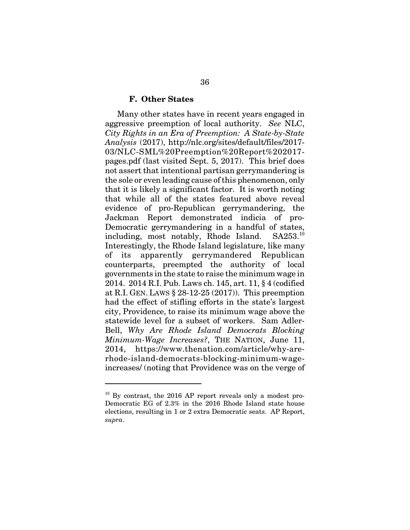#### **F. Other States**

Many other states have in recent years engaged in aggressive preemption of local authority. *See* NLC, *City Rights in an Era of Preemption: A State-by-State Analysis* (2017), http://nlc.org/sites/default/files/2017- 03/NLC-SML%20Preemption%20Report%202017 pages.pdf (last visited Sept. 5, 2017). This brief does not assert that intentional partisan gerrymandering is the sole or even leading cause of this phenomenon, only that it is likely a significant factor. It is worth noting that while all of the states featured above reveal evidence of pro-Republican gerrymandering, the Jackman Report demonstrated indicia of pro-Democratic gerrymandering in a handful of states, including, most notably, Rhode Island.  $SA253^{10}$ Interestingly, the Rhode Island legislature, like many of its apparently gerrymandered Republican counterparts, preempted the authority of local governments in the state to raise the minimum wage in 2014. 2014 R.I. Pub. Laws ch. 145, art. 11, § 4 (codified at R.I. GEN. LAWS § 28-12-25 (2017)). This preemption had the effect of stifling efforts in the state's largest city, Providence, to raise its minimum wage above the statewide level for a subset of workers. Sam Adler-Bell, *Why Are Rhode Island Democrats Blocking Minimum-Wage Increases?*, THE NATION, June 11, 2014, https://www.thenation.com/article/why-arerhode-island-democrats-blocking-minimum-wageincreases/ (noting that Providence was on the verge of

 $10$  By contrast, the 2016 AP report reveals only a modest pro-Democratic EG of 2.3% in the 2016 Rhode Island state house elections, resulting in 1 or 2 extra Democratic seats. AP Report, *supra*.